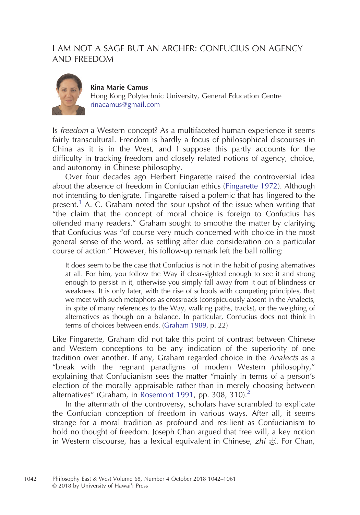# I AM NOT A SAGE BUT AN ARCHER: CONFUCIUS ON AGENCY AND FREEDOM



Rina Marie Camus Hong Kong Polytechnic University, General Education Centre rinacamus@gmail.com

Is freedom a Western concept? As a multifaceted human experience it seems fairly transcultural. Freedom is hardly a focus of philosophical discourses in China as it is in the West, and I suppose this partly accounts for the difficulty in tracking freedom and closely related notions of agency, choice, and autonomy in Chinese philosophy.

Over four decades ago Herbert Fingarette raised the controversial idea about the absence of freedom in Confucian ethics (Fingarette 1972). Although not intending to denigrate, Fingarette raised a polemic that has lingered to the present.<sup>1</sup> A. C. Graham noted the sour upshot of the issue when writing that "the claim that the concept of moral choice is foreign to Confucius has offended many readers." Graham sought to smoothe the matter by clarifying that Confucius was "of course very much concerned with choice in the most general sense of the word, as settling after due consideration on a particular course of action." However, his follow-up remark left the ball rolling:

It does seem to be the case that Confucius is not in the habit of posing alternatives at all. For him, you follow the Way if clear-sighted enough to see it and strong enough to persist in it, otherwise you simply fall away from it out of blindness or weakness. It is only later, with the rise of schools with competing principles, that we meet with such metaphors as crossroads (conspicuously absent in the Analects, in spite of many references to the Way, walking paths, tracks), or the weighing of alternatives as though on a balance. In particular, Confucius does not think in terms of choices between ends. (Graham 1989, p. 22)

Like Fingarette, Graham did not take this point of contrast between Chinese and Western conceptions to be any indication of the superiority of one tradition over another. If any, Graham regarded choice in the Analects as a "break with the regnant paradigms of modern Western philosophy," explaining that Confucianism sees the matter "mainly in terms of a person's election of the morally appraisable rather than in merely choosing between alternatives" (Graham, in Rosemont 1991, pp. 308, 310).<sup>2</sup>

In the aftermath of the controversy, scholars have scrambled to explicate the Confucian conception of freedom in various ways. After all, it seems strange for a moral tradition as profound and resilient as Confucianism to hold no thought of freedom. Joseph Chan argued that free will, a key notion in Western discourse, has a lexical equivalent in Chinese,  $zhi \nexists$ . For Chan,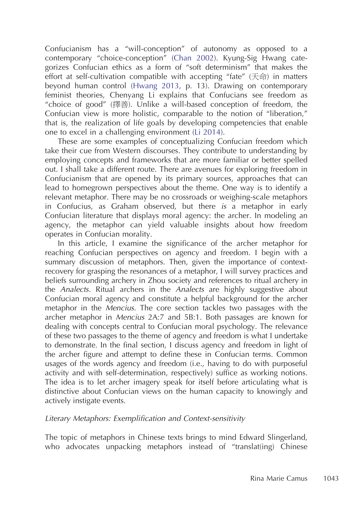Confucianism has a "will-conception" of autonomy as opposed to a contemporary "choice-conception" (Chan 2002). Kyung-Sig Hwang categorizes Confucian ethics as a form of "soft determinism" that makes the effort at self-cultivation compatible with accepting "fate" (天命) in matters beyond human control (Hwang 2013, p. 13). Drawing on contemporary feminist theories, Chenyang Li explains that Confucians see freedom as "choice of good" (擇善). Unlike a will-based conception of freedom, the Confucian view is more holistic, comparable to the notion of "liberation," that is, the realization of life goals by developing competencies that enable one to excel in a challenging environment (Li 2014).

These are some examples of conceptualizing Confucian freedom which take their cue from Western discourses. They contribute to understanding by employing concepts and frameworks that are more familiar or better spelled out. I shall take a different route. There are avenues for exploring freedom in Confucianism that are opened by its primary sources, approaches that can lead to homegrown perspectives about the theme. One way is to identify a relevant metaphor. There may be no crossroads or weighing-scale metaphors in Confucius, as Graham observed, but there is a metaphor in early Confucian literature that displays moral agency: the archer. In modeling an agency, the metaphor can yield valuable insights about how freedom operates in Confucian morality.

In this article, I examine the significance of the archer metaphor for reaching Confucian perspectives on agency and freedom. I begin with a summary discussion of metaphors. Then, given the importance of contextrecovery for grasping the resonances of a metaphor, I will survey practices and beliefs surrounding archery in Zhou society and references to ritual archery in the Analects. Ritual archers in the Analects are highly suggestive about Confucian moral agency and constitute a helpful background for the archer metaphor in the Mencius. The core section tackles two passages with the archer metaphor in Mencius 2A:7 and 5B:1. Both passages are known for dealing with concepts central to Confucian moral psychology. The relevance of these two passages to the theme of agency and freedom is what I undertake to demonstrate. In the final section, I discuss agency and freedom in light of the archer figure and attempt to define these in Confucian terms. Common usages of the words agency and freedom (i.e., having to do with purposeful activity and with self-determination, respectively) suffice as working notions. The idea is to let archer imagery speak for itself before articulating what is distinctive about Confucian views on the human capacity to knowingly and actively instigate events.

### Literary Metaphors: Exemplification and Context-sensitivity

The topic of metaphors in Chinese texts brings to mind Edward Slingerland, who advocates unpacking metaphors instead of "translat(ing) Chinese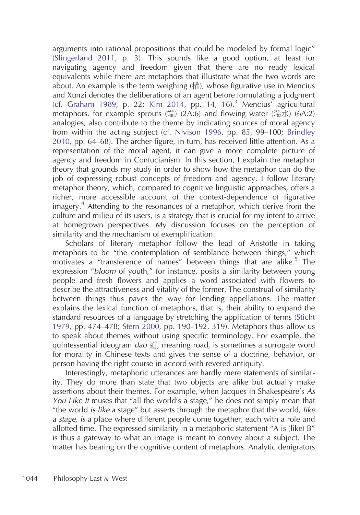arguments into rational propositions that could be modeled by formal logic" (Slingerland 2011, p. 3). This sounds like a good option, at least for navigating agency and freedom given that there are no ready lexical equivalents while there are metaphors that illustrate what the two words are about. An example is the term weighing (權), whose figurative use in Mencius and Xunzi denotes the deliberations of an agent before formulating a judgment (cf. Graham 1989, p. 22; Kim 2014, pp. 14, 16).<sup>3</sup> Mencius<sup>7</sup> agricultural metaphors, for example sprouts  $(\frac{m}{4})$  (2A:6) and flowing water  $(\frac{m}{4})$  (6A:2) analogies, also contribute to the theme by indicating sources of moral agency from within the acting subject (cf. Nivison 1996, pp. 85, 99–100; Brindley 2010, pp. 64–68). The archer figure, in turn, has received little attention. As a representation of the moral agent, it can give a more complete picture of agency and freedom in Confucianism. In this section, I explain the metaphor theory that grounds my study in order to show how the metaphor can do the job of expressing robust concepts of freedom and agency. I follow literary metaphor theory, which, compared to cognitive linguistic approaches, offers a richer, more accessible account of the context-dependence of figurative imagery.<sup>4</sup> Attending to the resonances of a metaphor, which derive from the culture and milieu of its users, is a strategy that is crucial for my intent to arrive at homegrown perspectives. My discussion focuses on the perception of similarity and the mechanism of exemplification.

Scholars of literary metaphor follow the lead of Aristotle in taking metaphors to be "the contemplation of semblance between things," which motivates a "transference of names" between things that are alike.<sup>5</sup> The expression "bloom of youth," for instance, posits a similarity between young people and fresh flowers and applies a word associated with flowers to describe the attractiveness and vitality of the former. The construal of similarity between things thus paves the way for lending appellations. The matter explains the lexical function of metaphors, that is, their ability to expand the standard resources of a language by stretching the application of terms (Sticht 1979, pp. 474–478; Stern 2000, pp. 190–192, 319). Metaphors thus allow us to speak about themes without using specific terminology. For example, the quintessential ideogram dao 道, meaning road, is sometimes a surrogate word for morality in Chinese texts and gives the sense of a doctrine, behavior, or person having the right course in accord with revered antiquity.

Interestingly, metaphoric utterances are hardly mere statements of similarity. They do more than state that two objects are alike but actually make assertions about their themes. For example, when Jacques in Shakespeare's As You Like It muses that "all the world's a stage," he does not simply mean that "the world is like a stage" but asserts through the metaphor that the world, like a stage, is a place where different people come together, each with a role and allotted time. The expressed similarity in a metaphoric statement "A is (like) B" is thus a gateway to what an image is meant to convey about a subject. The matter has bearing on the cognitive content of metaphors. Analytic denigrators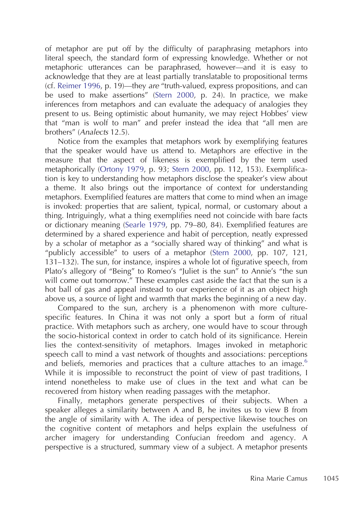of metaphor are put off by the difficulty of paraphrasing metaphors into literal speech, the standard form of expressing knowledge. Whether or not metaphoric utterances can be paraphrased, however—and it is easy to acknowledge that they are at least partially translatable to propositional terms (cf. Reimer 1996, p. 19)—they are "truth-valued, express propositions, and can be used to make assertions" (Stern 2000, p. 24). In practice, we make inferences from metaphors and can evaluate the adequacy of analogies they present to us. Being optimistic about humanity, we may reject Hobbes' view that "man is wolf to man" and prefer instead the idea that "all men are brothers" (Analects 12.5).

Notice from the examples that metaphors work by exemplifying features that the speaker would have us attend to. Metaphors are effective in the measure that the aspect of likeness is exemplified by the term used metaphorically (Ortony 1979, p. 93; Stern 2000, pp. 112, 153). Exemplification is key to understanding how metaphors disclose the speaker's view about a theme. It also brings out the importance of context for understanding metaphors. Exemplified features are matters that come to mind when an image is invoked: properties that are salient, typical, normal, or customary about a thing. Intriguingly, what a thing exemplifies need not coincide with bare facts or dictionary meaning (Searle 1979, pp. 79–80, 84). Exemplified features are determined by a shared experience and habit of perception, neatly expressed by a scholar of metaphor as a "socially shared way of thinking" and what is "publicly accessible" to users of a metaphor (Stern 2000, pp. 107, 121, 131–132). The sun, for instance, inspires a whole lot of figurative speech, from Plato's allegory of "Being" to Romeo's "Juliet is the sun" to Annie's "the sun will come out tomorrow." These examples cast aside the fact that the sun is a hot ball of gas and appeal instead to our experience of it as an object high above us, a source of light and warmth that marks the beginning of a new day.

Compared to the sun, archery is a phenomenon with more culturespecific features. In China it was not only a sport but a form of ritual practice. With metaphors such as archery, one would have to scour through the socio-historical context in order to catch hold of its significance. Herein lies the context-sensitivity of metaphors. Images invoked in metaphoric speech call to mind a vast network of thoughts and associations: perceptions and beliefs, memories and practices that a culture attaches to an image.<sup>6</sup> While it is impossible to reconstruct the point of view of past traditions, I intend nonetheless to make use of clues in the text and what can be recovered from history when reading passages with the metaphor.

Finally, metaphors generate perspectives of their subjects. When a speaker alleges a similarity between A and B, he invites us to view B from the angle of similarity with A. The idea of perspective likewise touches on the cognitive content of metaphors and helps explain the usefulness of archer imagery for understanding Confucian freedom and agency. A perspective is a structured, summary view of a subject. A metaphor presents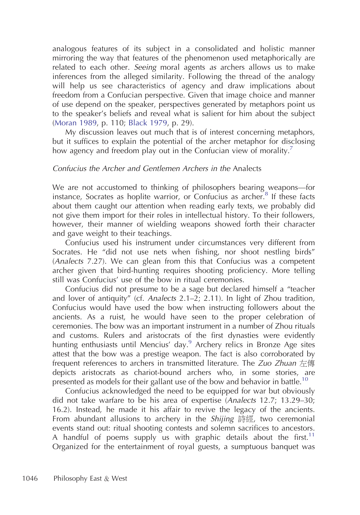analogous features of its subject in a consolidated and holistic manner mirroring the way that features of the phenomenon used metaphorically are related to each other. Seeing moral agents as archers allows us to make inferences from the alleged similarity. Following the thread of the analogy will help us see characteristics of agency and draw implications about freedom from a Confucian perspective. Given that image choice and manner of use depend on the speaker, perspectives generated by metaphors point us to the speaker's beliefs and reveal what is salient for him about the subject (Moran 1989, p. 110; Black 1979, p. 29).

My discussion leaves out much that is of interest concerning metaphors, but it suffices to explain the potential of the archer metaphor for disclosing how agency and freedom play out in the Confucian view of morality.<sup>7</sup>

### Confucius the Archer and Gentlemen Archers in the Analects

We are not accustomed to thinking of philosophers bearing weapons—for instance, Socrates as hoplite warrior, or Confucius as archer.<sup>8</sup> If these facts about them caught our attention when reading early texts, we probably did not give them import for their roles in intellectual history. To their followers, however, their manner of wielding weapons showed forth their character and gave weight to their teachings.

Confucius used his instrument under circumstances very different from Socrates. He "did not use nets when fishing, nor shoot nestling birds" (Analects 7.27). We can glean from this that Confucius was a competent archer given that bird-hunting requires shooting proficiency. More telling still was Confucius' use of the bow in ritual ceremonies.

Confucius did not presume to be a sage but declared himself a "teacher and lover of antiquity" (cf. Analects 2.1–2; 2.11). In light of Zhou tradition, Confucius would have used the bow when instructing followers about the ancients. As a ruist, he would have seen to the proper celebration of ceremonies. The bow was an important instrument in a number of Zhou rituals and customs. Rulers and aristocrats of the first dynasties were evidently hunting enthusiasts until Mencius' day.<sup>9</sup> Archery relics in Bronze Age sites attest that the bow was a prestige weapon. The fact is also corroborated by frequent references to archers in transmitted literature. The Zuo Zhuan 左傳 depicts aristocrats as chariot-bound archers who, in some stories, are presented as models for their gallant use of the bow and behavior in battle.<sup>10</sup>

Confucius acknowledged the need to be equipped for war but obviously did not take warfare to be his area of expertise (Analects 12.7; 13.29–30; 16.2). Instead, he made it his affair to revive the legacy of the ancients. From abundant allusions to archery in the *Shijing* 詩經, two ceremonial events stand out: ritual shooting contests and solemn sacrifices to ancestors. A handful of poems supply us with graphic details about the first.<sup>11</sup> Organized for the entertainment of royal guests, a sumptuous banquet was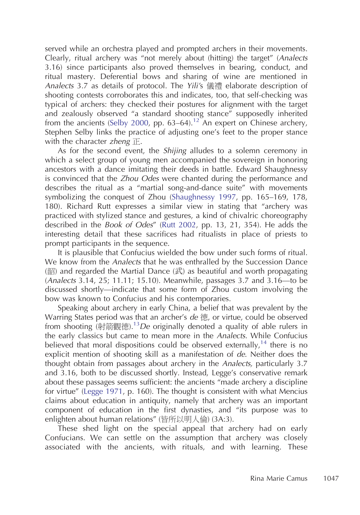served while an orchestra played and prompted archers in their movements. Clearly, ritual archery was "not merely about (hitting) the target" (Analects 3.16) since participants also proved themselves in bearing, conduct, and ritual mastery. Deferential bows and sharing of wine are mentioned in Analects 3.7 as details of protocol. The Yili's 儀禮 elaborate description of shooting contests corroborates this and indicates, too, that self-checking was typical of archers: they checked their postures for alignment with the target and zealously observed "a standard shooting stance" supposedly inherited from the ancients (Selby 2000, pp. 63–64).<sup>12</sup> An expert on Chinese archery, Stephen Selby links the practice of adjusting one's feet to the proper stance with the character zheng  $E$ .

As for the second event, the *Shijing* alludes to a solemn ceremony in which a select group of young men accompanied the sovereign in honoring ancestors with a dance imitating their deeds in battle. Edward Shaughnessy is convinced that the Zhou Odes were chanted during the performance and describes the ritual as a "martial song-and-dance suite" with movements symbolizing the conquest of Zhou (Shaughnessy 1997, pp. 165–169, 178, 180). Richard Rutt expresses a similar view in stating that "archery was practiced with stylized stance and gestures, a kind of chivalric choreography described in the Book of Odes" (Rutt 2002, pp. 13, 21, 354). He adds the interesting detail that these sacrifices had ritualists in place of priests to prompt participants in the sequence.

It is plausible that Confucius wielded the bow under such forms of ritual. We know from the Analects that he was enthralled by the Succession Dance  $\left(\frac{2\pi}{10}\right)$  and regarded the Martial Dance  $\left(\frac{2\pi}{10}\right)$  as beautiful and worth propagating (Analects 3.14, 25; 11.11; 15.10). Meanwhile, passages 3.7 and 3.16—to be discussed shortly—indicate that some form of Zhou custom involving the bow was known to Confucius and his contemporaries.

Speaking about archery in early China, a belief that was prevalent by the Warring States period was that an archer's *de* 德, or virtue, could be observed from shooting (射箭觀德).<sup>13</sup>De originally denoted a quality of able rulers in the early classics but came to mean more in the Analects. While Confucius believed that moral dispositions could be observed externally,<sup>14</sup> there is no explicit mention of shooting skill as a manifestation of de. Neither does the thought obtain from passages about archery in the Analects, particularly 3.7 and 3.16, both to be discussed shortly. Instead, Legge's conservative remark about these passages seems sufficient: the ancients "made archery a discipline for virtue" (Legge 1971, p. 160). The thought is consistent with what Mencius claims about education in antiquity, namely that archery was an important component of education in the first dynasties, and "its purpose was to enlighten about human relations" (皆所以明人倫) (3A:3).

These shed light on the special appeal that archery had on early Confucians. We can settle on the assumption that archery was closely associated with the ancients, with rituals, and with learning. These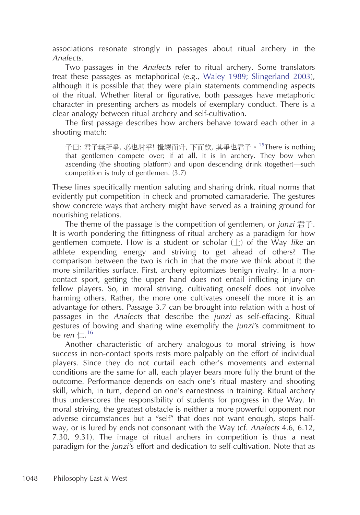associations resonate strongly in passages about ritual archery in the Analects.

Two passages in the Analects refer to ritual archery. Some translators treat these passages as metaphorical (e.g., Waley 1989; Slingerland 2003), although it is possible that they were plain statements commending aspects of the ritual. Whether literal or figurative, both passages have metaphoric character in presenting archers as models of exemplary conduct. There is a clear analogy between ritual archery and self-cultivation.

The first passage describes how archers behave toward each other in a shooting match:

子曰: 君子無所爭, 必也射乎! 揖讓而升, 下而飲, 其爭也君子。15There is nothing that gentlemen compete over; if at all, it is in archery. They bow when ascending (the shooting platform) and upon descending drink (together)—such competition is truly of gentlemen. (3.7)

These lines specifically mention saluting and sharing drink, ritual norms that evidently put competition in check and promoted camaraderie. The gestures show concrete ways that archery might have served as a training ground for nourishing relations.

The theme of the passage is the competition of gentlemen, or *junzi* 君子. It is worth pondering the fittingness of ritual archery as a paradigm for how gentlemen compete. How is a student or scholar  $(\pm)$  of the Way like an athlete expending energy and striving to get ahead of others? The comparison between the two is rich in that the more we think about it the more similarities surface. First, archery epitomizes benign rivalry. In a noncontact sport, getting the upper hand does not entail inflicting injury on fellow players. So, in moral striving, cultivating oneself does not involve harming others. Rather, the more one cultivates oneself the more it is an advantage for others. Passage 3.7 can be brought into relation with a host of passages in the Analects that describe the junzi as self-effacing. Ritual gestures of bowing and sharing wine exemplify the junzi's commitment to be *ren* ( $\Box$ <sup>16</sup>

Another characteristic of archery analogous to moral striving is how success in non-contact sports rests more palpably on the effort of individual players. Since they do not curtail each other's movements and external conditions are the same for all, each player bears more fully the brunt of the outcome. Performance depends on each one's ritual mastery and shooting skill, which, in turn, depend on one's earnestness in training. Ritual archery thus underscores the responsibility of students for progress in the Way. In moral striving, the greatest obstacle is neither a more powerful opponent nor adverse circumstances but a "self" that does not want enough, stops halfway, or is lured by ends not consonant with the Way (cf. Analects 4.6, 6.12, 7.30, 9.31). The image of ritual archers in competition is thus a neat paradigm for the junzi's effort and dedication to self-cultivation. Note that as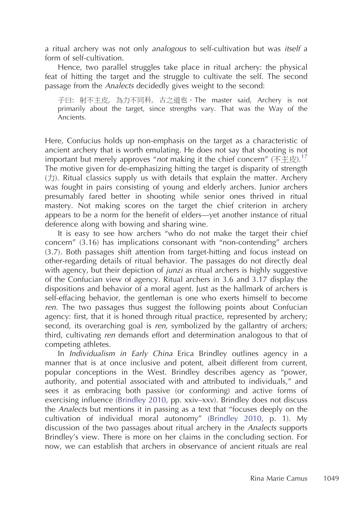a ritual archery was not only analogous to self-cultivation but was itself a form of self-cultivation.

Hence, two parallel struggles take place in ritual archery: the physical feat of hitting the target and the struggle to cultivate the self. The second passage from the Analects decidedly gives weight to the second:

子曰: 射不主皮, 為力不同科, 古之道也。The master said, Archery is not primarily about the target, since strengths vary. That was the Way of the Ancients.

Here, Confucius holds up non-emphasis on the target as a characteristic of ancient archery that is worth emulating. He does not say that shooting is not important but merely approves "not making it the chief concern" ( $\overline{A \pm B}$ ).<sup>17</sup> The motive given for de-emphasizing hitting the target is disparity of strength  $($  $\pm$  $)$ ). Ritual classics supply us with details that explain the matter. Archery was fought in pairs consisting of young and elderly archers. Junior archers presumably fared better in shooting while senior ones thrived in ritual mastery. Not making scores on the target the chief criterion in archery appears to be a norm for the benefit of elders—yet another instance of ritual deference along with bowing and sharing wine.

It is easy to see how archers "who do not make the target their chief concern" (3.16) has implications consonant with "non-contending" archers (3.7). Both passages shift attention from target-hitting and focus instead on other-regarding details of ritual behavior. The passages do not directly deal with agency, but their depiction of *junzi* as ritual archers is highly suggestive of the Confucian view of agency. Ritual archers in 3.6 and 3.17 display the dispositions and behavior of a moral agent. Just as the hallmark of archers is self-effacing behavior, the gentleman is one who exerts himself to become ren. The two passages thus suggest the following points about Confucian agency: first, that it is honed through ritual practice, represented by archery; second, its overarching goal is ren, symbolized by the gallantry of archers; third, cultivating ren demands effort and determination analogous to that of competing athletes.

In Individualism in Early China Erica Brindley outlines agency in a manner that is at once inclusive and potent, albeit different from current, popular conceptions in the West. Brindley describes agency as "power, authority, and potential associated with and attributed to individuals," and sees it as embracing both passive (or conforming) and active forms of exercising influence (Brindley 2010, pp. xxiv–xxv). Brindley does not discuss the Analects but mentions it in passing as a text that "focuses deeply on the cultivation of individual moral autonomy" (Brindley 2010, p. 1). My discussion of the two passages about ritual archery in the Analects supports Brindley's view. There is more on her claims in the concluding section. For now, we can establish that archers in observance of ancient rituals are real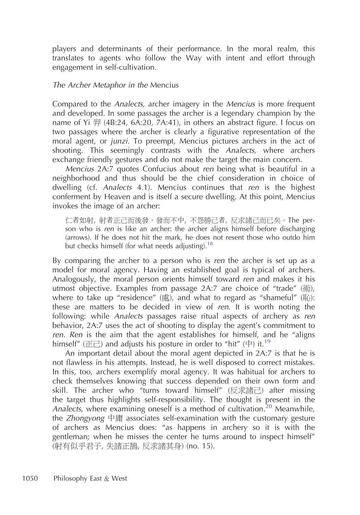players and determinants of their performance. In the moral realm, this translates to agents who follow the Way with intent and effort through engagement in self-cultivation.

## The Archer Metaphor in the Mencius

Compared to the Analects, archer imagery in the Mencius is more frequent and developed. In some passages the archer is a legendary champion by the name of Yi 羿 (4B:24, 6A:20, 7A:41), in others an abstract figure. I focus on two passages where the archer is clearly a figurative representation of the moral agent, or junzi. To preempt, Mencius pictures archers in the act of shooting. This seemingly contrasts with the Analects, where archers exchange friendly gestures and do not make the target the main concern.

Mencius 2A:7 quotes Confucius about ren being what is beautiful in a neighborhood and thus should be the chief consideration in choice of dwelling (cf. Analects 4.1). Mencius continues that ren is the highest conferment by Heaven and is itself a secure dwelling. At this point, Mencius invokes the image of an archer:

仁者如射, 射者正己而後發。發而不中, 不怨勝己者, 反求諸己而已矣。The person who is ren is like an archer: the archer aligns himself before discharging (arrows). If he does not hit the mark, he does not resent those who outdo him but checks himself (for what needs adjusting).<sup>18</sup>

By comparing the archer to a person who is ren the archer is set up as a model for moral agency. Having an established goal is typical of archers. Analogously, the moral person orients himself toward ren and makes it his utmost objective. Examples from passage 2A:7 are choice of "trade" (術), where to take up "residence" (處), and what to regard as "shameful" (恥): these are matters to be decided in view of ren. It is worth noting the following: while Analects passages raise ritual aspects of archery as ren behavior, 2A:7 uses the act of shooting to display the agent's commitment to ren. Ren is the aim that the agent establishes for himself, and he "aligns himself" (正己) and adjusts his posture in order to "hit" (中) it.<sup>19</sup>

An important detail about the moral agent depicted in 2A:7 is that he is not flawless in his attempts. Instead, he is well disposed to correct mistakes. In this, too, archers exemplify moral agency. It was habitual for archers to check themselves knowing that success depended on their own form and skill. The archer who "turns toward himself" (反求諸己) after missing the target thus highlights self-responsibility. The thought is present in the Analects, where examining oneself is a method of cultivation.<sup>20</sup> Meanwhile, the Zhongyong 中庸 associates self-examination with the customary gesture of archers as Mencius does: "as happens in archery so it is with the gentleman; when he misses the center he turns around to inspect himself" (射有似乎君子, 失諸正鵠, 反求諸其身) (no. 15).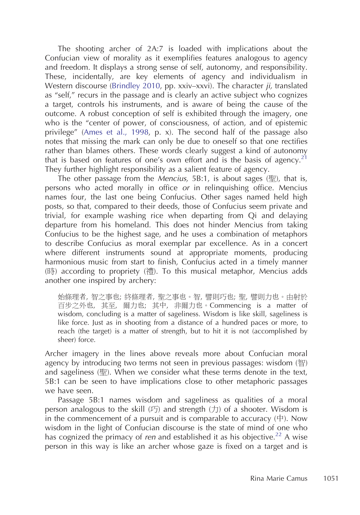The shooting archer of 2A:7 is loaded with implications about the Confucian view of morality as it exemplifies features analogous to agency and freedom. It displays a strong sense of self, autonomy, and responsibility. These, incidentally, are key elements of agency and individualism in Western discourse (Brindley 2010, pp. xxiv–xxvi). The character *ji*, translated as "self," recurs in the passage and is clearly an active subject who cognizes a target, controls his instruments, and is aware of being the cause of the outcome. A robust conception of self is exhibited through the imagery, one who is the "center of power, of consciousness, of action, and of epistemic privilege" (Ames et al., 1998, p. x). The second half of the passage also notes that missing the mark can only be due to oneself so that one rectifies rather than blames others. These words clearly suggest a kind of autonomy that is based on features of one's own effort and is the basis of agency.<sup>21</sup> They further highlight responsibility as a salient feature of agency.

The other passage from the *Mencius*, 5B:1, is about sages  $(\mathbb{E})$ , that is, persons who acted morally in office or in relinquishing office. Mencius names four, the last one being Confucius. Other sages named held high posts, so that, compared to their deeds, those of Confucius seem private and trivial, for example washing rice when departing from Qi and delaying departure from his homeland. This does not hinder Mencius from taking Confucius to be the highest sage, and he uses a combination of metaphors to describe Confucius as moral exemplar par excellence. As in a concert where different instruments sound at appropriate moments, producing harmonious music from start to finish, Confucius acted in a timely manner (時) according to propriety (禮). To this musical metaphor, Mencius adds another one inspired by archery:

始條理者, 智之事也; 終條理者, 聖之事也。智, 譬則巧也; 聖, 譬則力也。由射於 百步之外也, 其至, 爾力也; 其中, 非爾力也。Commencing is a matter of wisdom, concluding is a matter of sageliness. Wisdom is like skill, sageliness is like force. Just as in shooting from a distance of a hundred paces or more, to reach (the target) is a matter of strength, but to hit it is not (accomplished by sheer) force.

Archer imagery in the lines above reveals more about Confucian moral agency by introducing two terms not seen in previous passages: wisdom (智) and sageliness (聖). When we consider what these terms denote in the text, 5B:1 can be seen to have implications close to other metaphoric passages we have seen.

Passage 5B:1 names wisdom and sageliness as qualities of a moral person analogous to the skill  $(\overline{Y})$  and strength  $(\overline{Y})$  of a shooter. Wisdom is in the commencement of a pursuit and is comparable to accuracy  $(\nvdash)$ . Now wisdom in the light of Confucian discourse is the state of mind of one who has cognized the primacy of ren and established it as his objective.<sup>22</sup> A wise person in this way is like an archer whose gaze is fixed on a target and is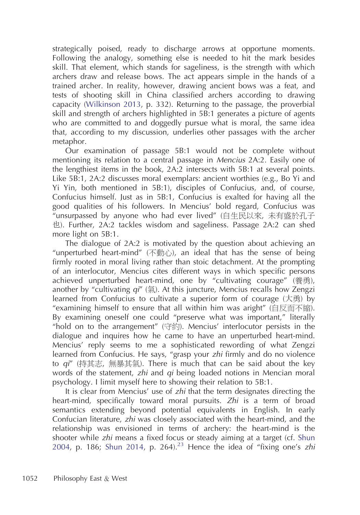strategically poised, ready to discharge arrows at opportune moments. Following the analogy, something else is needed to hit the mark besides skill. That element, which stands for sageliness, is the strength with which archers draw and release bows. The act appears simple in the hands of a trained archer. In reality, however, drawing ancient bows was a feat, and tests of shooting skill in China classified archers according to drawing capacity (Wilkinson 2013, p. 332). Returning to the passage, the proverbial skill and strength of archers highlighted in 5B:1 generates a picture of agents who are committed to and doggedly pursue what is moral, the same idea that, according to my discussion, underlies other passages with the archer metaphor.

Our examination of passage 5B:1 would not be complete without mentioning its relation to a central passage in Mencius 2A:2. Easily one of the lengthiest items in the book, 2A:2 intersects with 5B:1 at several points. Like 5B:1, 2A:2 discusses moral exemplars: ancient worthies (e.g., Bo Yi and Yi Yin, both mentioned in 5B:1), disciples of Confucius, and, of course, Confucius himself. Just as in 5B:1, Confucius is exalted for having all the good qualities of his followers. In Mencius' bold regard, Confucius was "unsurpassed by anyone who had ever lived" (自生民以來, 未有盛於孔子 也). Further, 2A:2 tackles wisdom and sageliness. Passage 2A:2 can shed more light on 5B:1.

The dialogue of 2A:2 is motivated by the question about achieving an "unperturbed heart-mind" (不動心), an ideal that has the sense of being firmly rooted in moral living rather than stoic detachment. At the prompting of an interlocutor, Mencius cites different ways in which specific persons achieved unperturbed heart-mind, one by "cultivating courage" (養勇), another by "cultivating  $qi''$  (氣). At this juncture, Mencius recalls how Zengzi learned from Confucius to cultivate a superior form of courage (大勇) by "examining himself to ensure that all within him was aright" (自反而不縮). By examining oneself one could "preserve what was important," literally "hold on to the arrangement" (守約). Mencius' interlocutor persists in the dialogue and inquires how he came to have an unperturbed heart-mind. Mencius' reply seems to me a sophisticated rewording of what Zengzi learned from Confucius. He says, "grasp your zhi firmly and do no violence to <sup>q</sup>i" (持其志, 無暴其氣). There is much that can be said about the key words of the statement, zhi and qi being loaded notions in Mencian moral psychology. I limit myself here to showing their relation to 5B:1.

It is clear from Mencius' use of zhi that the term designates directing the heart-mind, specifically toward moral pursuits. Zhi is a term of broad semantics extending beyond potential equivalents in English. In early Confucian literature, zhi was closely associated with the heart-mind, and the relationship was envisioned in terms of archery: the heart-mind is the shooter while zhi means a fixed focus or steady aiming at a target (cf. Shun 2004, p. 186; Shun 2014, p. 264).<sup>23</sup> Hence the idea of "fixing one's zhi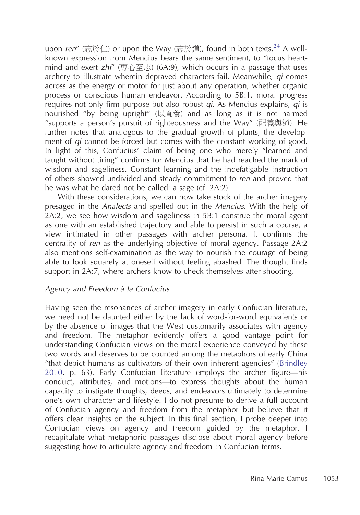upon ren" (志於仁) or upon the Way (志於道), found in both texts.<sup>24</sup> A wellknown expression from Mencius bears the same sentiment, to "focus heartmind and exert zhi<sup>"</sup> (專心至志) (6A:9), which occurs in a passage that uses archery to illustrate wherein depraved characters fail. Meanwhile, qi comes across as the energy or motor for just about any operation, whether organic process or conscious human endeavor. According to 5B:1, moral progress requires not only firm purpose but also robust *qi*. As Mencius explains, *qi* is nourished "by being upright" (以直養) and as long as it is not harmed "supports a person's pursuit of righteousness and the Way" (配義與道). He further notes that analogous to the gradual growth of plants, the development of *qi* cannot be forced but comes with the constant working of good. In light of this, Confucius' claim of being one who merely "learned and taught without tiring" confirms for Mencius that he had reached the mark of wisdom and sageliness. Constant learning and the indefatigable instruction of others showed undivided and steady commitment to ren and proved that he was what he dared not be called: a sage (cf. 2A:2).

With these considerations, we can now take stock of the archer imagery presaged in the Analects and spelled out in the Mencius. With the help of 2A:2, we see how wisdom and sageliness in 5B:1 construe the moral agent as one with an established trajectory and able to persist in such a course, a view intimated in other passages with archer persona. It confirms the centrality of ren as the underlying objective of moral agency. Passage 2A:2 also mentions self-examination as the way to nourish the courage of being able to look squarely at oneself without feeling abashed. The thought finds support in 2A:7, where archers know to check themselves after shooting.

### Agency and Freedom à la Confucius

Having seen the resonances of archer imagery in early Confucian literature, we need not be daunted either by the lack of word-for-word equivalents or by the absence of images that the West customarily associates with agency and freedom. The metaphor evidently offers a good vantage point for understanding Confucian views on the moral experience conveyed by these two words and deserves to be counted among the metaphors of early China "that depict humans as cultivators of their own inherent agencies" (Brindley 2010, p. 63). Early Confucian literature employs the archer figure—his conduct, attributes, and motions—to express thoughts about the human capacity to instigate thoughts, deeds, and endeavors ultimately to determine one's own character and lifestyle. I do not presume to derive a full account of Confucian agency and freedom from the metaphor but believe that it offers clear insights on the subject. In this final section, I probe deeper into Confucian views on agency and freedom guided by the metaphor. I recapitulate what metaphoric passages disclose about moral agency before suggesting how to articulate agency and freedom in Confucian terms.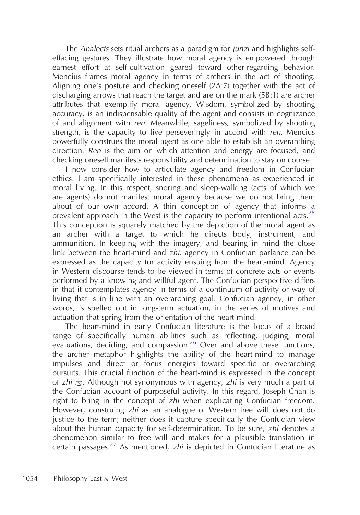The Analects sets ritual archers as a paradigm for *junzi* and highlights selfeffacing gestures. They illustrate how moral agency is empowered through earnest effort at self-cultivation geared toward other-regarding behavior. Mencius frames moral agency in terms of archers in the act of shooting. Aligning one's posture and checking oneself (2A:7) together with the act of discharging arrows that reach the target and are on the mark (5B:1) are archer attributes that exemplify moral agency. Wisdom, symbolized by shooting accuracy, is an indispensable quality of the agent and consists in cognizance of and alignment with ren. Meanwhile, sageliness, symbolized by shooting strength, is the capacity to live perseveringly in accord with *ren*. Mencius powerfully construes the moral agent as one able to establish an overarching direction. Ren is the aim on which attention and energy are focused, and checking oneself manifests responsibility and determination to stay on course.

I now consider how to articulate agency and freedom in Confucian ethics. I am specifically interested in these phenomena as experienced in moral living. In this respect, snoring and sleep-walking (acts of which we are agents) do not manifest moral agency because we do not bring them about of our own accord. A thin conception of agency that informs a prevalent approach in the West is the capacity to perform intentional acts.<sup>25</sup> This conception is squarely matched by the depiction of the moral agent as an archer with a target to which he directs body, instrument, and ammunition. In keeping with the imagery, and bearing in mind the close link between the heart-mind and zhi, agency in Confucian parlance can be expressed as the capacity for activity ensuing from the heart-mind. Agency in Western discourse tends to be viewed in terms of concrete acts or events performed by a knowing and willful agent. The Confucian perspective differs in that it contemplates agency in terms of a continuum of activity or way of living that is in line with an overarching goal. Confucian agency, in other words, is spelled out in long-term actuation, in the series of motives and actuation that spring from the orientation of the heart-mind.

The heart-mind in early Confucian literature is the locus of a broad range of specifically human abilities such as reflecting, judging, moral evaluations, deciding, and compassion.<sup>26</sup> Over and above these functions, the archer metaphor highlights the ability of the heart-mind to manage impulses and direct or focus energies toward specific or overarching pursuits. This crucial function of the heart-mind is expressed in the concept of zhi $\pm$ . Although not synonymous with agency, zhi is very much a part of the Confucian account of purposeful activity. In this regard, Joseph Chan is right to bring in the concept of zhi when explicating Confucian freedom. However, construing zhi as an analogue of Western free will does not do justice to the term; neither does it capture specifically the Confucian view about the human capacity for self-determination. To be sure, zhi denotes a phenomenon similar to free will and makes for a plausible translation in certain passages.<sup>27</sup> As mentioned, *zhi* is depicted in Confucian literature as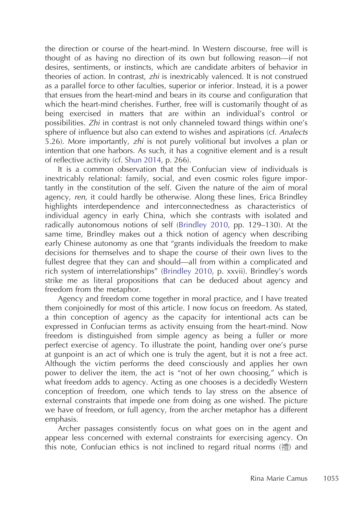the direction or course of the heart-mind. In Western discourse, free will is thought of as having no direction of its own but following reason—if not desires, sentiments, or instincts, which are candidate arbiters of behavior in theories of action. In contrast, zhi is inextricably valenced. It is not construed as a parallel force to other faculties, superior or inferior. Instead, it is a power that ensues from the heart-mind and bears in its course and configuration that which the heart-mind cherishes. Further, free will is customarily thought of as being exercised in matters that are within an individual's control or possibilities. Zhi in contrast is not only channeled toward things within one's sphere of influence but also can extend to wishes and aspirations (cf. Analects 5.26). More importantly, zhi is not purely volitional but involves a plan or intention that one harbors. As such, it has a cognitive element and is a result of reflective activity (cf. Shun 2014, p. 266).

It is a common observation that the Confucian view of individuals is inextricably relational: family, social, and even cosmic roles figure importantly in the constitution of the self. Given the nature of the aim of moral agency, ren, it could hardly be otherwise. Along these lines, Erica Brindley highlights interdependence and interconnectedness as characteristics of individual agency in early China, which she contrasts with isolated and radically autonomous notions of self (Brindley 2010, pp. 129–130). At the same time, Brindley makes out a thick notion of agency when describing early Chinese autonomy as one that "grants individuals the freedom to make decisions for themselves and to shape the course of their own lives to the fullest degree that they can and should—all from within a complicated and rich system of interrelationships" (Brindley 2010, p. xxvii). Brindley's words strike me as literal propositions that can be deduced about agency and freedom from the metaphor.

Agency and freedom come together in moral practice, and I have treated them conjoinedly for most of this article. I now focus on freedom. As stated, a thin conception of agency as the capacity for intentional acts can be expressed in Confucian terms as activity ensuing from the heart-mind. Now freedom is distinguished from simple agency as being a fuller or more perfect exercise of agency. To illustrate the point, handing over one's purse at gunpoint is an act of which one is truly the agent, but it is not a free act. Although the victim performs the deed consciously and applies her own power to deliver the item, the act is "not of her own choosing," which is what freedom adds to agency. Acting as one chooses is a decidedly Western conception of freedom, one which tends to lay stress on the absence of external constraints that impede one from doing as one wished. The picture we have of freedom, or full agency, from the archer metaphor has a different emphasis.

Archer passages consistently focus on what goes on in the agent and appear less concerned with external constraints for exercising agency. On this note, Confucian ethics is not inclined to regard ritual norms (禮) and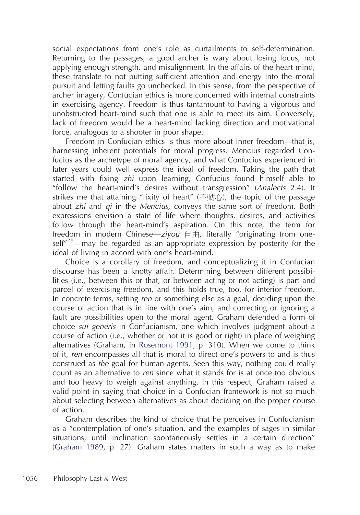social expectations from one's role as curtailments to self-determination. Returning to the passages, a good archer is wary about losing focus, not applying enough strength, and misalignment. In the affairs of the heart-mind, these translate to not putting sufficient attention and energy into the moral pursuit and letting faults go unchecked. In this sense, from the perspective of archer imagery, Confucian ethics is more concerned with internal constraints in exercising agency. Freedom is thus tantamount to having a vigorous and unobstructed heart-mind such that one is able to meet its aim. Conversely, lack of freedom would be a heart-mind lacking direction and motivational force, analogous to a shooter in poor shape.

Freedom in Confucian ethics is thus more about inner freedom—that is, harnessing inherent potentials for moral progress. Mencius regarded Confucius as the archetype of moral agency, and what Confucius experienced in later years could well express the ideal of freedom. Taking the path that started with fixing zhi upon learning, Confucius found himself able to "follow the heart-mind's desires without transgression" (Analects 2.4). It strikes me that attaining "fixity of heart" (不動心), the topic of the passage about zhi and qi in the Mencius, conveys the same sort of freedom. Both expressions envision a state of life where thoughts, desires, and activities follow through the heart-mind's aspiration. On this note, the term for freedom in modern Chinese—ziyou 自由, literally "originating from oneself"<sup>28</sup>—may be regarded as an appropriate expression by posterity for the ideal of living in accord with one's heart-mind.

Choice is a corollary of freedom, and conceptualizing it in Confucian discourse has been a knotty affair. Determining between different possibilities (i.e., between this or that, or between acting or not acting) is part and parcel of exercising freedom, and this holds true, too, for interior freedom. In concrete terms, setting ren or something else as a goal, deciding upon the course of action that is in line with one's aim, and correcting or ignoring a fault are possibilities open to the moral agent. Graham defended a form of choice sui generis in Confucianism, one which involves judgment about a course of action (i.e., whether or not it is good or right) in place of weighing alternatives (Graham, in Rosemont 1991, p. 310). When we come to think of it, ren encompasses all that is moral to direct one's powers to and is thus construed as the goal for human agents. Seen this way, nothing could really count as an alternative to ren since what it stands for is at once too obvious and too heavy to weigh against anything. In this respect, Graham raised a valid point in saying that choice in a Confucian framework is not so much about selecting between alternatives as about deciding on the proper course of action.

Graham describes the kind of choice that he perceives in Confucianism as a "contemplation of one's situation, and the examples of sages in similar situations, until inclination spontaneously settles in a certain direction" (Graham 1989, p. 27). Graham states matters in such a way as to make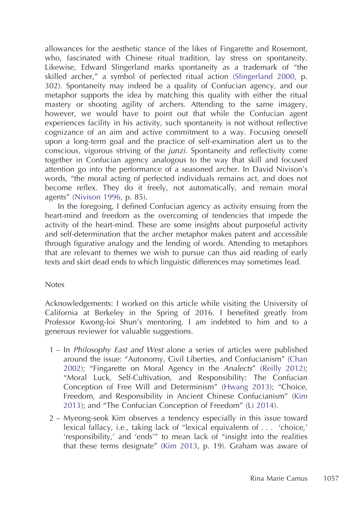allowances for the aesthetic stance of the likes of Fingarette and Rosemont, who, fascinated with Chinese ritual tradition, lay stress on spontaneity. Likewise, Edward Slingerland marks spontaneity as a trademark of "the skilled archer," a symbol of perfected ritual action (Slingerland 2000, p. 302). Spontaneity may indeed be a quality of Confucian agency, and our metaphor supports the idea by matching this quality with either the ritual mastery or shooting agility of archers. Attending to the same imagery, however, we would have to point out that while the Confucian agent experiences facility in his activity, such spontaneity is not without reflective cognizance of an aim and active commitment to a way. Focusing oneself upon a long-term goal and the practice of self-examination alert us to the conscious, vigorous striving of the junzi. Spontaneity and reflectivity come together in Confucian agency analogous to the way that skill and focused attention go into the performance of a seasoned archer. In David Nivison's words, "the moral acting of perfected individuals remains act, and does not become reflex. They do it freely, not automatically, and remain moral agents" (Nivison 1996, p. 85).

In the foregoing, I defined Confucian agency as activity ensuing from the heart-mind and freedom as the overcoming of tendencies that impede the activity of the heart-mind. These are some insights about purposeful activity and self-determination that the archer metaphor makes patent and accessible through figurative analogy and the lending of words. Attending to metaphors that are relevant to themes we wish to pursue can thus aid reading of early texts and skirt dead ends to which linguistic differences may sometimes lead.

### Notes

Acknowledgements: I worked on this article while visiting the University of California at Berkeley in the Spring of 2016. I benefited greatly from Professor Kwong-loi Shun's mentoring. I am indebted to him and to a generous reviewer for valuable suggestions.

- 1 In Philosophy East and West alone a series of articles were published around the issue: "Autonomy, Civil Liberties, and Confucianism" (Chan 2002); "Fingarette on Moral Agency in the Analects" (Reilly 2012); "Moral Luck, Self-Cultivation, and Responsibility: The Confucian Conception of Free Will and Determinism" (Hwang 2013); "Choice, Freedom, and Responsibility in Ancient Chinese Confucianism" (Kim 2013); and "The Confucian Conception of Freedom" (Li 2014).
- 2 Myeong-seok Kim observes a tendency especially in this issue toward lexical fallacy, i.e., taking lack of "lexical equivalents of . . . 'choice,' 'responsibility,' and 'ends'" to mean lack of "insight into the realities that these terms designate" (Kim 2013, p. 19). Graham was aware of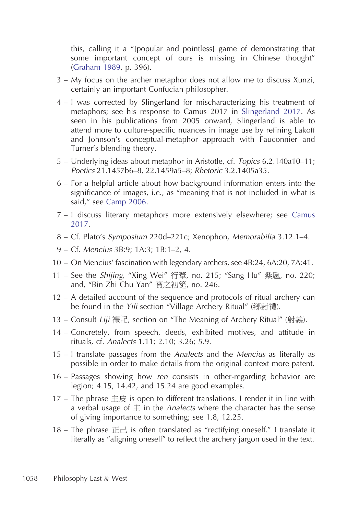this, calling it a "[popular and pointless] game of demonstrating that some important concept of ours is missing in Chinese thought" (Graham 1989, p. 396).

- 3 My focus on the archer metaphor does not allow me to discuss Xunzi, certainly an important Confucian philosopher.
- 4 I was corrected by Slingerland for mischaracterizing his treatment of metaphors; see his response to Camus 2017 in Slingerland 2017. As seen in his publications from 2005 onward, Slingerland is able to attend more to culture-specific nuances in image use by refining Lakoff and Johnson's conceptual-metaphor approach with Fauconnier and Turner's blending theory.
- 5 Underlying ideas about metaphor in Aristotle, cf. Topics 6.2.140a10–11; Poetics 21.1457b6–8, 22.1459a5–8; Rhetoric 3.2.1405a35.
- 6 For a helpful article about how background information enters into the significance of images, i.e., as "meaning that is not included in what is said," see Camp 2006.
- 7 I discuss literary metaphors more extensively elsewhere; see Camus 2017.
- 8 Cf. Plato's Symposium 220d–221c; Xenophon, Memorabilia 3.12.1–4.
- 9 Cf. Mencius 3B:9; 1A:3; 1B:1–2, 4.
- 10 On Mencius' fascination with legendary archers, see 4B:24, 6A:20, 7A:41.
- 11 See the Shijing, "Xing Wei" 行葦, no. 215; "Sang Hu" 桑扈, no. 220; and, "Bin Zhi Chu Yan" 賓之初筵, no. 246.
- 12 A detailed account of the sequence and protocols of ritual archery can be found in the Yili section "Village Archery Ritual" (鄉射禮).
- 13 Consult Liji 禮記, section on "The Meaning of Archery Ritual" (射義).
- 14 Concretely, from speech, deeds, exhibited motives, and attitude in rituals, cf. Analects 1.11; 2.10; 3.26; 5.9.
- 15 I translate passages from the Analects and the Mencius as literally as possible in order to make details from the original context more patent.
- 16 Passages showing how ren consists in other-regarding behavior are legion; 4.15, 14.42, and 15.24 are good examples.
- 17 The phrase 主皮 is open to different translations. I render it in line with a verbal usage of  $\pm$  in the Analects where the character has the sense of giving importance to something; see 1.8, 12.25.
- 18 The phrase  $\mathbb{E}$  is often translated as "rectifying oneself." I translate it literally as "aligning oneself" to reflect the archery jargon used in the text.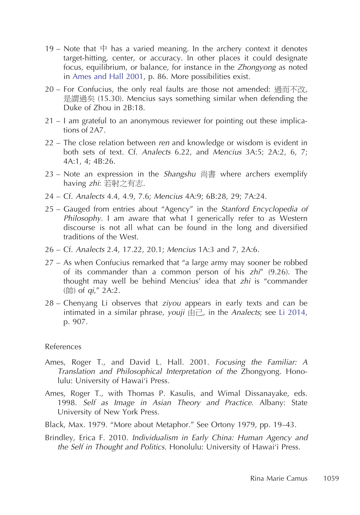- 19 Note that  $\dot{\uparrow}$  has a varied meaning. In the archery context it denotes target-hitting, center, or accuracy. In other places it could designate focus, equilibrium, or balance, for instance in the Zhongyong as noted in Ames and Hall 2001, p. 86. More possibilities exist.
- 20 For Confucius, the only real faults are those not amended: 過而不改, 是謂過矣 (15.30). Mencius says something similar when defending the Duke of Zhou in 2B:18.
- 21 I am grateful to an anonymous reviewer for pointing out these implications of 2A7.
- 22 The close relation between ren and knowledge or wisdom is evident in both sets of text. Cf. Analects 6.22, and Mencius 3A:5; 2A:2, 6, 7; 4A:1, 4; 4B:26.
- 23 Note an expression in the Shangshu 尚書 where archers exemplify having zhi: 若射之有志.
- 24 Cf. Analects 4.4, 4.9, 7.6; Mencius 4A:9; 6B:28, 29; 7A:24.
- 25 Gauged from entries about "Agency" in the Stanford Encyclopedia of Philosophy. I am aware that what I generically refer to as Western discourse is not all what can be found in the long and diversified traditions of the West.
- 26 Cf. Analects 2.4, 17.22, 20.1; Mencius 1A:3 and 7, 2A:6.
- 27 As when Confucius remarked that "a large army may sooner be robbed of its commander than a common person of his zhi" (9.26). The thought may well be behind Mencius' idea that zhi is "commander (帥) of <sup>q</sup>i," 2A:2.
- 28 Chenyang Li observes that ziyou appears in early texts and can be intimated in a similar phrase, youji  $\dot{\boxplus} \vec{\Box}$ , in the Analects; see Li 2014, p. 907.

### References

- Ames, Roger T., and David L. Hall. 2001. Focusing the Familiar: A Translation and Philosophical Interpretation of the Zhongyong. Honolulu: University of Hawai'i Press.
- Ames, Roger T., with Thomas P. Kasulis, and Wimal Dissanayake, eds. 1998. Self as Image in Asian Theory and Practice. Albany: State University of New York Press.

Black, Max. 1979. "More about Metaphor." See Ortony 1979, pp. 19–43.

Brindley, Erica F. 2010. Individualism in Early China: Human Agency and the Self in Thought and Politics. Honolulu: University of Hawai'i Press.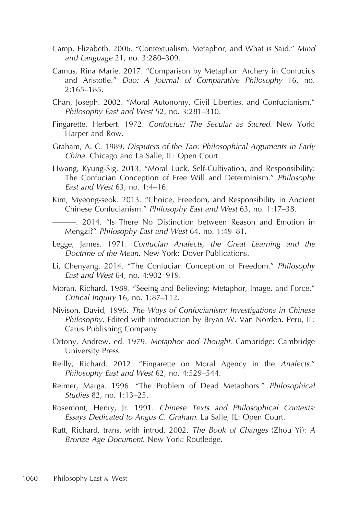- Camp, Elizabeth. 2006. "Contextualism, Metaphor, and What is Said." Mind and Language 21, no. 3:280–309.
- Camus, Rina Marie. 2017. "Comparison by Metaphor: Archery in Confucius and Aristotle." Dao: <sup>A</sup> Journal of Comparative Philosophy 16, no. 2:165–185.
- Chan, Joseph. 2002. "Moral Autonomy, Civil Liberties, and Confucianism." Philosophy East and West 52, no. 3:281–310.
- Fingarette, Herbert. 1972. Confucius: The Secular as Sacred. New York: Harper and Row.
- Graham, A. C. 1989. Disputers of the Tao: Philosophical Arguments in Early China. Chicago and La Salle, IL: Open Court.
- Hwang, Kyung-Sig. 2013. "Moral Luck, Self-Cultivation, and Responsibility: The Confucian Conception of Free Will and Determinism." Philosophy East and West 63, no. 1:4–16.
- Kim, Myeong-seok. 2013. "Choice, Freedom, and Responsibility in Ancient Chinese Confucianism." Philosophy East and West 63, no. 1:17–38.

———. 2014. "Is There No Distinction between Reason and Emotion in Mengzi?" Philosophy East and West 64, no. 1:49–81.

- Legge, James. 1971. Confucian Analects, the Great Learning and the Doctrine of the Mean. New York: Dover Publications.
- Li, Chenyang. 2014. "The Confucian Conception of Freedom." Philosophy East and West 64, no. 4:902–919.
- Moran, Richard. 1989. "Seeing and Believing: Metaphor, Image, and Force." Critical Inquiry 16, no. 1:87–112.
- Nivison, David, 1996. The Ways of Confucianism: Investigations in Chinese Philosophy. Edited with introduction by Bryan W. Van Norden. Peru, IL: Carus Publishing Company.
- Ortony, Andrew, ed. 1979. Metaphor and Thought. Cambridge: Cambridge University Press.
- Reilly, Richard. 2012. "Fingarette on Moral Agency in the Analects." Philosophy East and West 62, no. 4:529–544.
- Reimer, Marga. 1996. "The Problem of Dead Metaphors." Philosophical Studies 82, no. 1:13–25.
- Rosemont, Henry, Jr. 1991. Chinese Texts and Philosophical Contexts: Essays Dedicated to Angus C. Graham. La Salle, IL: Open Court.
- Rutt, Richard, trans. with introd. 2002. The Book of Changes (Zhou Yi): <sup>A</sup> Bronze Age Document. New York: Routledge.